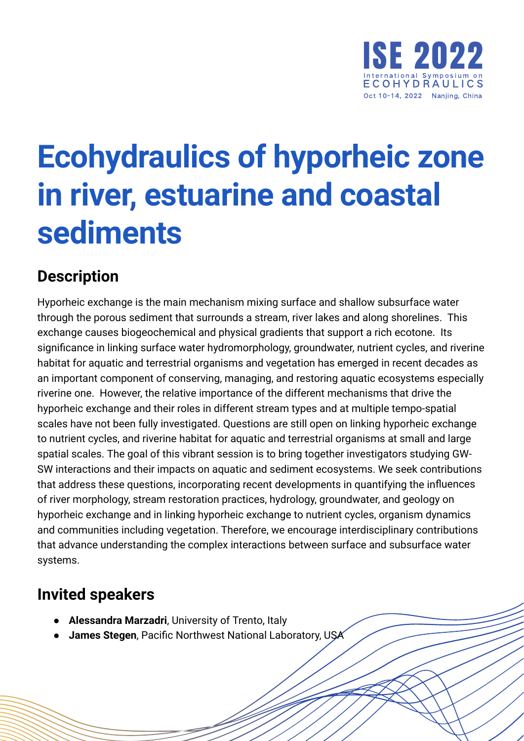

## **Ecohydraulics of hyporheic zone in river, estuarine and coastal sediments**

## **Description**

Hyporheic exchange is the main mechanism mixing surface and shallow subsurface water through the porous sediment that surrounds a stream, river lakes and along shorelines. This exchange causes biogeochemical and physical gradients that support a rich ecotone. Its significance in linking surface water hydromorphology, groundwater, nutrient cycles, and riverine habitat for aquatic and terrestrial organisms and vegetation has emerged in recent decades as an important component of conserving, managing, and restoring aquatic ecosystems especially riverine one. However, the relative importance of the different mechanisms that drive the hyporheic exchange and their roles in different stream types and at multiple tempo-spatial scales have not been fully investigated. Questions are still open on linking hyporheic exchange to nutrient cycles, and riverine habitat for aquatic and terrestrial organisms at small and large spatial scales. The goal of this vibrant session is to bring together investigators studying GW-SW interactions and their impacts on aquatic and sediment ecosystems. We seek contributions that address these questions, incorporating recent developments in quantifying the influences of river morphology, stream restoration practices, hydrology, groundwater, and geology on hyporheic exchange and in linking hyporheic exchange to nutrient cycles, organism dynamics and communities including vegetation. Therefore, we encourage interdisciplinary contributions that advance understanding the complex interactions between surface and subsurface water systems.

## **Invited speakers**

- **Alessandra Marzadri**, University of Trento, Italy
- **James Stegen**, Pacific Northwest National Laboratory, USA